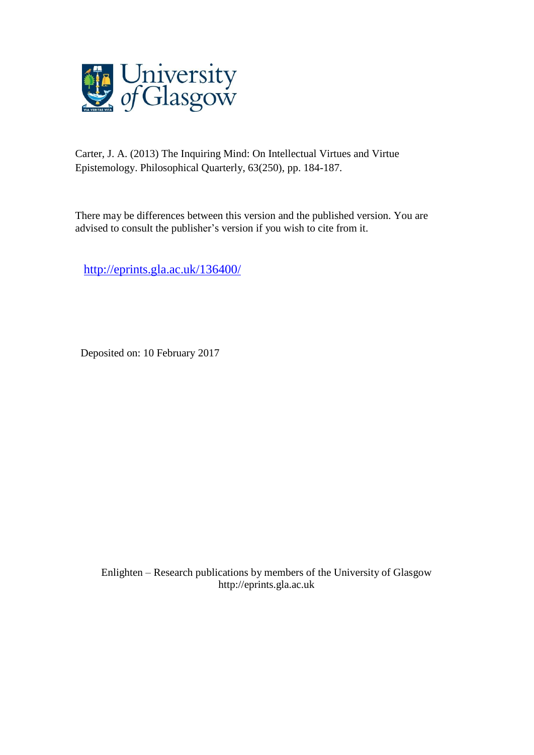

Carter, J. A. (2013) The Inquiring Mind: On Intellectual Virtues and Virtue Epistemology. Philosophical Quarterly, 63(250), pp. 184-187.

There may be differences between this version and the published version. You are advised to consult the publisher's version if you wish to cite from it.

<http://eprints.gla.ac.uk/136400/>

Deposited on: 10 February 2017

Enlighten – Research publications by members of the University of Glasgo[w](http://eprints.gla.ac.uk/) [http://eprints.gla.ac.uk](http://eprints.gla.ac.uk/)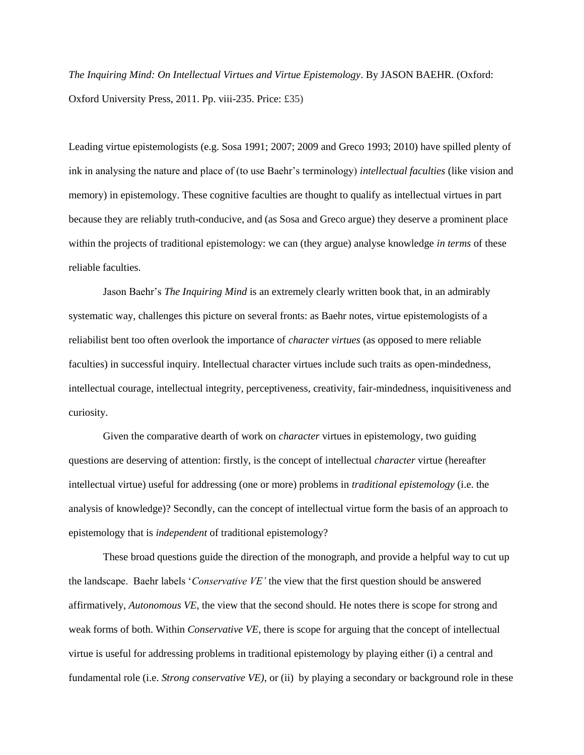*The Inquiring Mind: On Intellectual Virtues and Virtue Epistemology*. By JASON BAEHR. (Oxford: Oxford University Press, 2011. Pp. viii-235. Price: £35)

Leading virtue epistemologists (e.g. Sosa 1991; 2007; 2009 and Greco 1993; 2010) have spilled plenty of ink in analysing the nature and place of (to use Baehr's terminology) *intellectual faculties* (like vision and memory) in epistemology. These cognitive faculties are thought to qualify as intellectual virtues in part because they are reliably truth-conducive, and (as Sosa and Greco argue) they deserve a prominent place within the projects of traditional epistemology: we can (they argue) analyse knowledge *in terms* of these reliable faculties.

Jason Baehr's *The Inquiring Mind* is an extremely clearly written book that, in an admirably systematic way, challenges this picture on several fronts: as Baehr notes, virtue epistemologists of a reliabilist bent too often overlook the importance of *character virtues* (as opposed to mere reliable faculties) in successful inquiry. Intellectual character virtues include such traits as open-mindedness, intellectual courage, intellectual integrity, perceptiveness, creativity, fair-mindedness, inquisitiveness and curiosity.

Given the comparative dearth of work on *character* virtues in epistemology, two guiding questions are deserving of attention: firstly, is the concept of intellectual *character* virtue (hereafter intellectual virtue) useful for addressing (one or more) problems in *traditional epistemology* (i.e. the analysis of knowledge)? Secondly, can the concept of intellectual virtue form the basis of an approach to epistemology that is *independent* of traditional epistemology?

These broad questions guide the direction of the monograph, and provide a helpful way to cut up the landscape. Baehr labels '*Conservative VE'* the view that the first question should be answered affirmatively, *Autonomous VE*, the view that the second should. He notes there is scope for strong and weak forms of both. Within *Conservative VE*, there is scope for arguing that the concept of intellectual virtue is useful for addressing problems in traditional epistemology by playing either (i) a central and fundamental role (i.e. *Strong conservative VE)*, or (ii) by playing a secondary or background role in these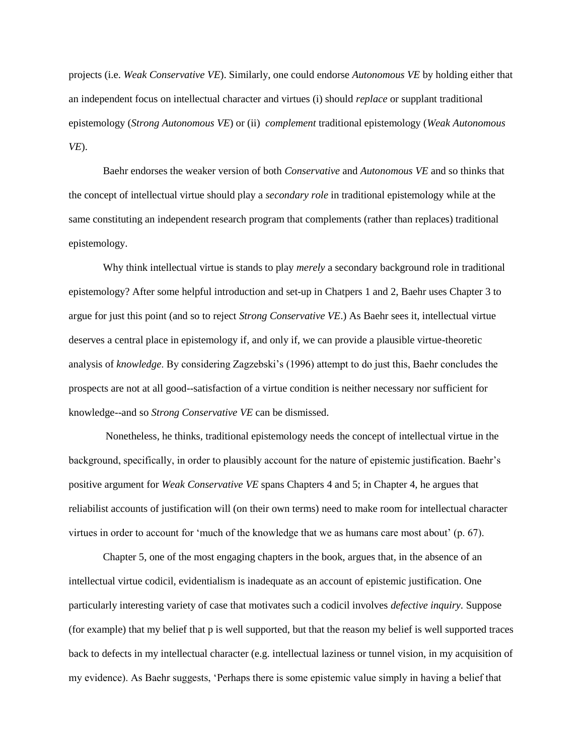projects (i.e. *Weak Conservative VE*). Similarly, one could endorse *Autonomous VE* by holding either that an independent focus on intellectual character and virtues (i) should *replace* or supplant traditional epistemology (*Strong Autonomous VE*) or (ii) *complement* traditional epistemology (*Weak Autonomous VE*).

Baehr endorses the weaker version of both *Conservative* and *Autonomous VE* and so thinks that the concept of intellectual virtue should play a *secondary role* in traditional epistemology while at the same constituting an independent research program that complements (rather than replaces) traditional epistemology.

Why think intellectual virtue is stands to play *merely* a secondary background role in traditional epistemology? After some helpful introduction and set-up in Chatpers 1 and 2, Baehr uses Chapter 3 to argue for just this point (and so to reject *Strong Conservative VE*.) As Baehr sees it, intellectual virtue deserves a central place in epistemology if, and only if, we can provide a plausible virtue-theoretic analysis of *knowledge*. By considering Zagzebski's (1996) attempt to do just this, Baehr concludes the prospects are not at all good--satisfaction of a virtue condition is neither necessary nor sufficient for knowledge--and so *Strong Conservative VE* can be dismissed.

Nonetheless, he thinks, traditional epistemology needs the concept of intellectual virtue in the background, specifically, in order to plausibly account for the nature of epistemic justification. Baehr's positive argument for *Weak Conservative VE* spans Chapters 4 and 5; in Chapter 4, he argues that reliabilist accounts of justification will (on their own terms) need to make room for intellectual character virtues in order to account for 'much of the knowledge that we as humans care most about' (p. 67).

Chapter 5, one of the most engaging chapters in the book, argues that, in the absence of an intellectual virtue codicil, evidentialism is inadequate as an account of epistemic justification. One particularly interesting variety of case that motivates such a codicil involves *defective inquiry.* Suppose (for example) that my belief that p is well supported, but that the reason my belief is well supported traces back to defects in my intellectual character (e.g. intellectual laziness or tunnel vision, in my acquisition of my evidence). As Baehr suggests, 'Perhaps there is some epistemic value simply in having a belief that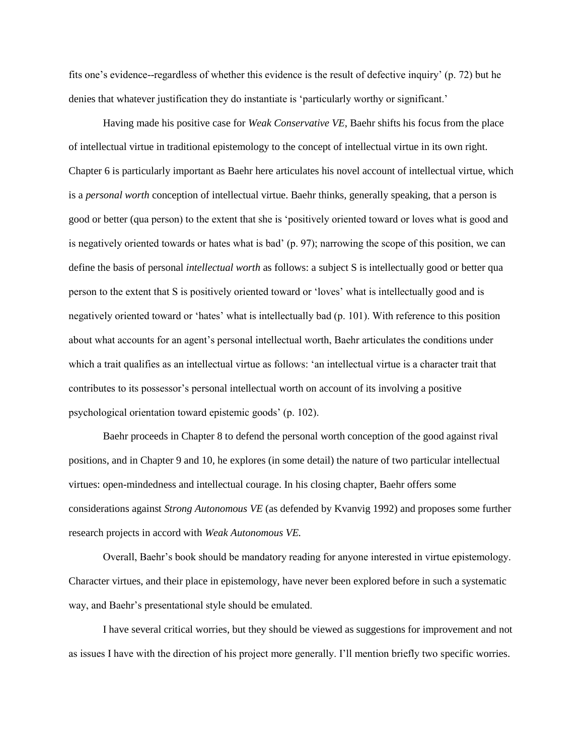fits one's evidence--regardless of whether this evidence is the result of defective inquiry' (p. 72) but he denies that whatever justification they do instantiate is 'particularly worthy or significant.'

Having made his positive case for *Weak Conservative VE*, Baehr shifts his focus from the place of intellectual virtue in traditional epistemology to the concept of intellectual virtue in its own right. Chapter 6 is particularly important as Baehr here articulates his novel account of intellectual virtue, which is a *personal worth* conception of intellectual virtue. Baehr thinks, generally speaking, that a person is good or better (qua person) to the extent that she is 'positively oriented toward or loves what is good and is negatively oriented towards or hates what is bad' (p. 97); narrowing the scope of this position, we can define the basis of personal *intellectual worth* as follows: a subject S is intellectually good or better qua person to the extent that S is positively oriented toward or 'loves' what is intellectually good and is negatively oriented toward or 'hates' what is intellectually bad (p. 101). With reference to this position about what accounts for an agent's personal intellectual worth, Baehr articulates the conditions under which a trait qualifies as an intellectual virtue as follows: 'an intellectual virtue is a character trait that contributes to its possessor's personal intellectual worth on account of its involving a positive psychological orientation toward epistemic goods' (p. 102).

Baehr proceeds in Chapter 8 to defend the personal worth conception of the good against rival positions, and in Chapter 9 and 10, he explores (in some detail) the nature of two particular intellectual virtues: open-mindedness and intellectual courage. In his closing chapter, Baehr offers some considerations against *Strong Autonomous VE* (as defended by Kvanvig 1992) and proposes some further research projects in accord with *Weak Autonomous VE.* 

Overall, Baehr's book should be mandatory reading for anyone interested in virtue epistemology. Character virtues, and their place in epistemology, have never been explored before in such a systematic way, and Baehr's presentational style should be emulated.

I have several critical worries, but they should be viewed as suggestions for improvement and not as issues I have with the direction of his project more generally. I'll mention briefly two specific worries.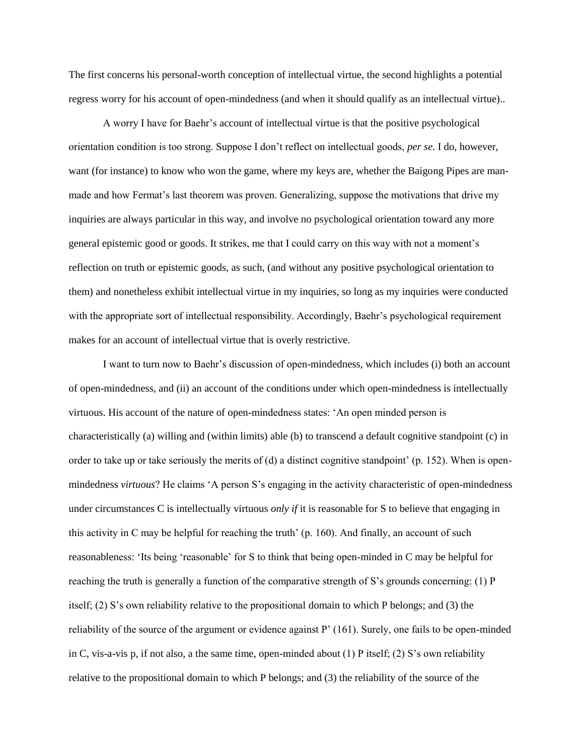The first concerns his personal-worth conception of intellectual virtue, the second highlights a potential regress worry for his account of open-mindedness (and when it should qualify as an intellectual virtue)..

A worry I have for Baehr's account of intellectual virtue is that the positive psychological orientation condition is too strong. Suppose I don't reflect on intellectual goods, *per se.* I do, however, want (for instance) to know who won the game, where my keys are, whether the Baigong Pipes are manmade and how Fermat's last theorem was proven. Generalizing, suppose the motivations that drive my inquiries are always particular in this way, and involve no psychological orientation toward any more general epistemic good or goods. It strikes, me that I could carry on this way with not a moment's reflection on truth or epistemic goods, as such, (and without any positive psychological orientation to them) and nonetheless exhibit intellectual virtue in my inquiries, so long as my inquiries were conducted with the appropriate sort of intellectual responsibility. Accordingly, Baehr's psychological requirement makes for an account of intellectual virtue that is overly restrictive.

I want to turn now to Baehr's discussion of open-mindedness, which includes (i) both an account of open-mindedness, and (ii) an account of the conditions under which open-mindedness is intellectually virtuous. His account of the nature of open-mindedness states: 'An open minded person is characteristically (a) willing and (within limits) able (b) to transcend a default cognitive standpoint (c) in order to take up or take seriously the merits of (d) a distinct cognitive standpoint' (p. 152). When is openmindedness *virtuous*? He claims 'A person S's engaging in the activity characteristic of open-mindedness under circumstances C is intellectually virtuous *only if* it is reasonable for S to believe that engaging in this activity in C may be helpful for reaching the truth' (p. 160). And finally, an account of such reasonableness: 'Its being 'reasonable' for S to think that being open-minded in C may be helpful for reaching the truth is generally a function of the comparative strength of S's grounds concerning: (1) P itself; (2) S's own reliability relative to the propositional domain to which P belongs; and (3) the reliability of the source of the argument or evidence against P' (161). Surely, one fails to be open-minded in C, vis-a-vis p, if not also, a the same time, open-minded about  $(1)$  P itself;  $(2)$  S's own reliability relative to the propositional domain to which P belongs; and (3) the reliability of the source of the